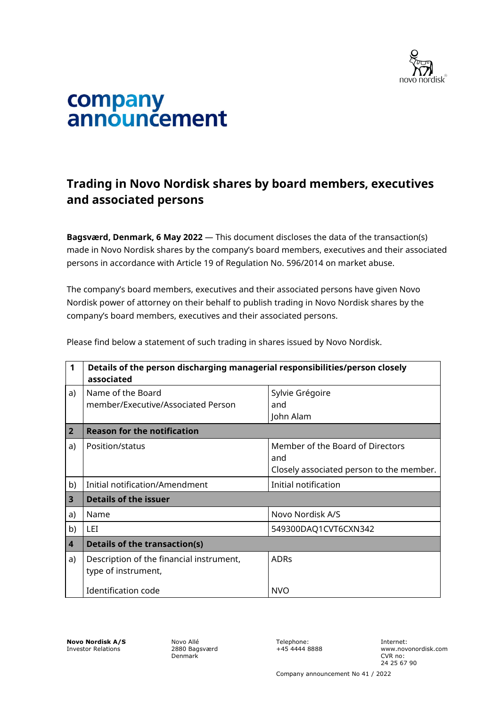

## company<br>announcement

## **Trading in Novo Nordisk shares by board members, executives and associated persons**

**Bagsværd, Denmark, 6 May 2022** — This document discloses the data of the transaction(s) made in Novo Nordisk shares by the company's board members, executives and their associated persons in accordance with Article 19 of Regulation No. 596/2014 on market abuse.

The company's board members, executives and their associated persons have given Novo Nordisk power of attorney on their behalf to publish trading in Novo Nordisk shares by the company's board members, executives and their associated persons.

| $\mathbf{1}$            | Details of the person discharging managerial responsibilities/person closely<br>associated |                                                                                     |  |
|-------------------------|--------------------------------------------------------------------------------------------|-------------------------------------------------------------------------------------|--|
| a)                      | Name of the Board<br>member/Executive/Associated Person                                    | Sylvie Grégoire<br>and<br>John Alam                                                 |  |
| $\overline{2}$          | <b>Reason for the notification</b>                                                         |                                                                                     |  |
| a)                      | Position/status                                                                            | Member of the Board of Directors<br>and<br>Closely associated person to the member. |  |
| b)                      | Initial notification/Amendment                                                             | Initial notification                                                                |  |
| $\overline{\mathbf{3}}$ | <b>Details of the issuer</b>                                                               |                                                                                     |  |
| a)                      | Name                                                                                       | Novo Nordisk A/S                                                                    |  |
| b)                      | LET                                                                                        | 549300DAQ1CVT6CXN342                                                                |  |
| 4                       | <b>Details of the transaction(s)</b>                                                       |                                                                                     |  |
| a)                      | Description of the financial instrument,<br>type of instrument,                            | <b>ADRs</b>                                                                         |  |
|                         | Identification code                                                                        | <b>NVO</b>                                                                          |  |

Please find below a statement of such trading in shares issued by Novo Nordisk.

**Novo Nordisk A/S** Investor Relations

Novo Allé 2880 Bagsværd Denmark

Telephone: +45 4444 8888 Internet: www.novonordisk.com CVR no: 24 25 67 90